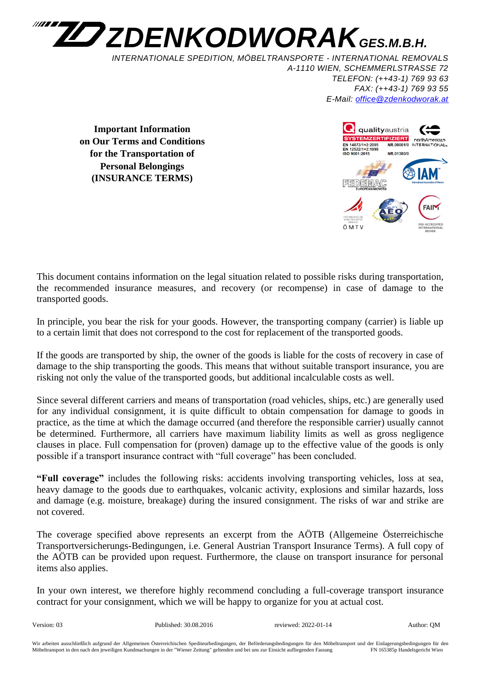

*INTERNATIONALE SPEDITION, MÖBELTRANSPORTE - INTERNATIONAL REMOVALS A-1110 WIEN, SCHEMMERLSTRASSE 72 TELEFON: (++43-1) 769 93 63 FAX: (++43-1) 769 93 55 E-Mail: [office@zdenkodworak.at](mailto:office@zdenkodworak.at)*

**Important Information on Our Terms and Conditions for the Transportation of Personal Belongings (INSURANCE TERMS)**



This document contains information on the legal situation related to possible risks during transportation, the recommended insurance measures, and recovery (or recompense) in case of damage to the transported goods.

In principle, you bear the risk for your goods. However, the transporting company (carrier) is liable up to a certain limit that does not correspond to the cost for replacement of the transported goods.

If the goods are transported by ship, the owner of the goods is liable for the costs of recovery in case of damage to the ship transporting the goods. This means that without suitable transport insurance, you are risking not only the value of the transported goods, but additional incalculable costs as well.

Since several different carriers and means of transportation (road vehicles, ships, etc.) are generally used for any individual consignment, it is quite difficult to obtain compensation for damage to goods in practice, as the time at which the damage occurred (and therefore the responsible carrier) usually cannot be determined. Furthermore, all carriers have maximum liability limits as well as gross negligence clauses in place. Full compensation for (proven) damage up to the effective value of the goods is only possible if a transport insurance contract with "full coverage" has been concluded.

**"Full coverage"** includes the following risks: accidents involving transporting vehicles, loss at sea, heavy damage to the goods due to earthquakes, volcanic activity, explosions and similar hazards, loss and damage (e.g. moisture, breakage) during the insured consignment. The risks of war and strike are not covered.

The coverage specified above represents an excerpt from the AÖTB (Allgemeine Österreichische Transportversicherungs-Bedingungen, i.e. General Austrian Transport Insurance Terms). A full copy of the AÖTB can be provided upon request. Furthermore, the clause on transport insurance for personal items also applies.

In your own interest, we therefore highly recommend concluding a full-coverage transport insurance contract for your consignment, which we will be happy to organize for you at actual cost.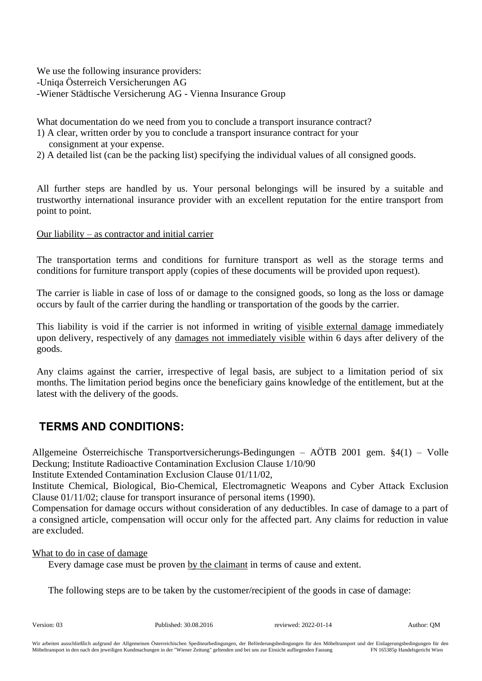We use the following insurance providers: -Uniqa Österreich Versicherungen AG -Wiener Städtische Versicherung AG - Vienna Insurance Group

What documentation do we need from you to conclude a transport insurance contract?

- 1) A clear, written order by you to conclude a transport insurance contract for your consignment at your expense.
- 2) A detailed list (can be the packing list) specifying the individual values of all consigned goods.

All further steps are handled by us. Your personal belongings will be insured by a suitable and trustworthy international insurance provider with an excellent reputation for the entire transport from point to point.

## Our liability – as contractor and initial carrier

The transportation terms and conditions for furniture transport as well as the storage terms and conditions for furniture transport apply (copies of these documents will be provided upon request).

The carrier is liable in case of loss of or damage to the consigned goods, so long as the loss or damage occurs by fault of the carrier during the handling or transportation of the goods by the carrier.

This liability is void if the carrier is not informed in writing of visible external damage immediately upon delivery, respectively of any damages not immediately visible within 6 days after delivery of the goods.

Any claims against the carrier, irrespective of legal basis, are subject to a limitation period of six months. The limitation period begins once the beneficiary gains knowledge of the entitlement, but at the latest with the delivery of the goods.

## **TERMS AND CONDITIONS:**

Allgemeine Österreichische Transportversicherungs-Bedingungen – AÖTB 2001 gem. §4(1) – Volle Deckung; Institute Radioactive Contamination Exclusion Clause 1/10/90

Institute Extended Contamination Exclusion Clause 01/11/02,

Institute Chemical, Biological, Bio-Chemical, Electromagnetic Weapons and Cyber Attack Exclusion Clause 01/11/02; clause for transport insurance of personal items (1990).

Compensation for damage occurs without consideration of any deductibles. In case of damage to a part of a consigned article, compensation will occur only for the affected part. Any claims for reduction in value are excluded.

## What to do in case of damage

Every damage case must be proven by the claimant in terms of cause and extent.

The following steps are to be taken by the customer/recipient of the goods in case of damage: